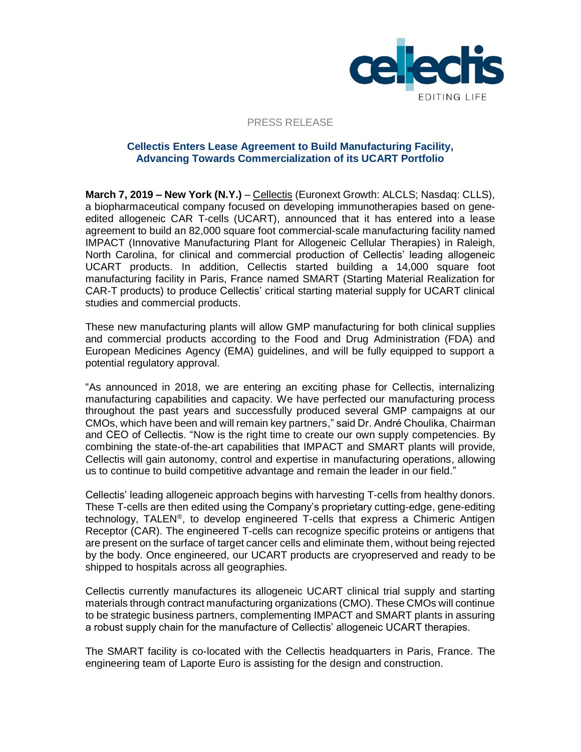

### PRESS RELEASE

# **Cellectis Enters Lease Agreement to Build Manufacturing Facility, Advancing Towards Commercialization of its UCART Portfolio**

**March 7, 2019 – New York (N.Y.)** – [Cellectis](http://www.cellectis.com/) (Euronext Growth: ALCLS; Nasdaq: CLLS), a biopharmaceutical company focused on developing immunotherapies based on geneedited allogeneic CAR T-cells (UCART), announced that it has entered into a lease agreement to build an 82,000 square foot commercial-scale manufacturing facility named IMPACT (Innovative Manufacturing Plant for Allogeneic Cellular Therapies) in Raleigh, North Carolina, for clinical and commercial production of Cellectis' leading allogeneic UCART products. In addition, Cellectis started building a 14,000 square foot manufacturing facility in Paris, France named SMART (Starting Material Realization for CAR-T products) to produce Cellectis' critical starting material supply for UCART clinical studies and commercial products.

These new manufacturing plants will allow GMP manufacturing for both clinical supplies and commercial products according to the Food and Drug Administration (FDA) and European Medicines Agency (EMA) guidelines, and will be fully equipped to support a potential regulatory approval.

"As announced in 2018, we are entering an exciting phase for Cellectis, internalizing manufacturing capabilities and capacity. We have perfected our manufacturing process throughout the past years and successfully produced several GMP campaigns at our CMOs, which have been and will remain key partners," said Dr. André Choulika, Chairman and CEO of Cellectis. "Now is the right time to create our own supply competencies. By combining the state-of-the-art capabilities that IMPACT and SMART plants will provide, Cellectis will gain autonomy, control and expertise in manufacturing operations, allowing us to continue to build competitive advantage and remain the leader in our field."

Cellectis' leading allogeneic approach begins with harvesting T-cells from healthy donors. These T-cells are then edited using the Company's proprietary cutting-edge, gene-editing technology, TALEN®, to develop engineered T-cells that express a Chimeric Antigen Receptor (CAR). The engineered T-cells can recognize specific proteins or antigens that are present on the surface of target cancer cells and eliminate them, without being rejected by the body. Once engineered, our UCART products are cryopreserved and ready to be shipped to hospitals across all geographies.

Cellectis currently manufactures its allogeneic UCART clinical trial supply and starting materials through contract manufacturing organizations (CMO). These CMOs will continue to be strategic business partners, complementing IMPACT and SMART plants in assuring a robust supply chain for the manufacture of Cellectis' allogeneic UCART therapies.

The SMART facility is co-located with the Cellectis headquarters in Paris, France. The engineering team of Laporte Euro is assisting for the design and construction.